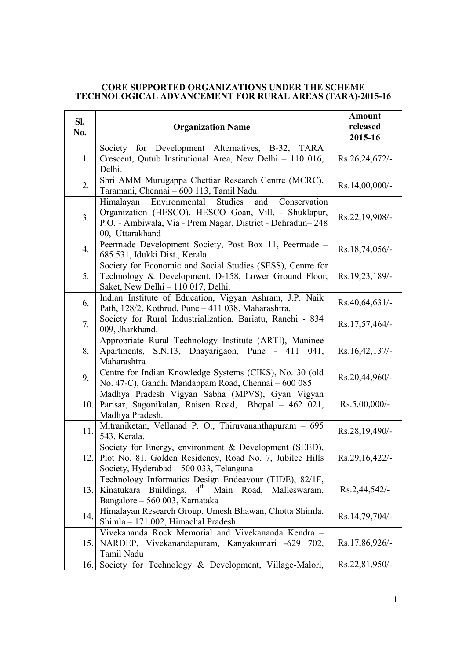## **CORE SUPPORTED ORGANIZATIONS UNDER THE SCHEME TECHNOLOGICAL ADVANCEMENT FOR RURAL AREAS (TARA)-2015-16**

| SI. | <b>Organization Name</b>                                                                                                                                                                        | <b>Amount</b><br>released |
|-----|-------------------------------------------------------------------------------------------------------------------------------------------------------------------------------------------------|---------------------------|
| No. |                                                                                                                                                                                                 | 2015-16                   |
| 1.  | Society for Development Alternatives, B-32, TARA<br>Crescent, Qutub Institutional Area, New Delhi - 110 016,<br>Delhi.                                                                          | Rs.26,24,672/-            |
| 2.  | Shri AMM Murugappa Chettiar Research Centre (MCRC),<br>Taramani, Chennai - 600 113, Tamil Nadu.                                                                                                 | $Rs.14,00,000/$ -         |
| 3.  | Himalayan Environmental Studies<br>and<br>Conservation<br>Organization (HESCO), HESCO Goan, Vill. - Shuklapur,<br>P.O. - Ambiwala, Via - Prem Nagar, District - Dehradun-248<br>00, Uttarakhand | Rs.22,19,908/-            |
| 4.  | Peermade Development Society, Post Box 11, Peermade -<br>685 531, Idukki Dist., Kerala.                                                                                                         | Rs.18,74,056/-            |
| 5.  | Society for Economic and Social Studies (SESS), Centre for<br>Technology & Development, D-158, Lower Ground Floor,<br>Saket, New Delhi - 110 017, Delhi.                                        | Rs.19,23,189/-            |
| 6.  | Indian Institute of Education, Vigyan Ashram, J.P. Naik<br>Path, 128/2, Kothrud, Pune - 411 038, Maharashtra.                                                                                   | Rs.40,64,631/             |
| 7.  | Society for Rural Industrialization, Bariatu, Ranchi - 834<br>009, Jharkhand.                                                                                                                   | Rs.17,57,464/-            |
| 8.  | Appropriate Rural Technology Institute (ARTI), Maninee<br>S.N.13, Dhayarigaon, Pune - 411 041,<br>Apartments,<br>Maharashtra                                                                    | Rs.16,42,137/             |
| 9.  | Centre for Indian Knowledge Systems (CIKS), No. 30 (old<br>No. 47-C), Gandhi Mandappam Road, Chennai - 600 085                                                                                  | Rs.20,44,960/-            |
| 10. | Madhya Pradesh Vigyan Sabha (MPVS), Gyan Vigyan<br>Parisar, Sagonikalan, Raisen Road, Bhopal - 462 021,<br>Madhya Pradesh.                                                                      | $Rs.5,00,000/$ -          |
| 11. | Mitraniketan, Vellanad P. O., Thiruvananthapuram - 695<br>543, Kerala.                                                                                                                          | Rs.28,19,490/-            |
|     | Society for Energy, environment & Development (SEED),<br>12. Plot No. 81, Golden Residency, Road No. 7, Jubilee Hills<br>Society, Hyderabad - 500 033, Telangana                                | Rs.29,16,422/-            |
| 13. | Technology Informatics Design Endeavour (TIDE), 82/1F,<br>Kinatukara Buildings, 4 <sup>th</sup> Main Road, Malleswaram,<br>Bangalore - 560 003, Karnataka                                       | Rs.2,44,542/-             |
| 14. | Himalayan Research Group, Umesh Bhawan, Chotta Shimla,<br>Shimla - 171 002, Himachal Pradesh.                                                                                                   | Rs.14,79,704/-            |
| 15. | Vivekananda Rock Memorial and Vivekananda Kendra -<br>NARDEP, Vivekanandapuram, Kanyakumari -629 702,<br>Tamil Nadu                                                                             | Rs.17,86,926/-            |
| 16. | Society for Technology & Development, Village-Malori,                                                                                                                                           | Rs.22,81,950/-            |